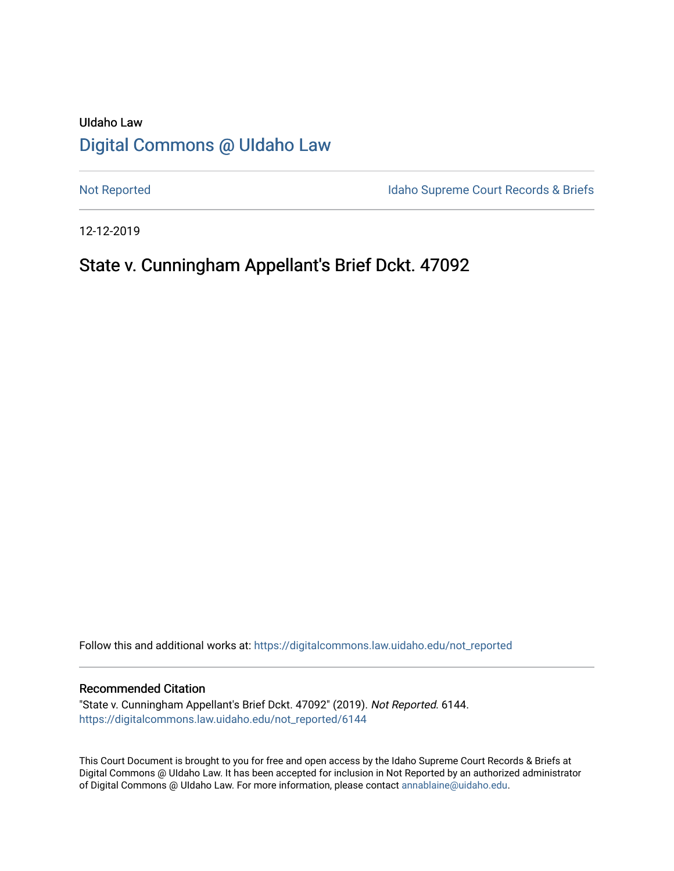# UIdaho Law [Digital Commons @ UIdaho Law](https://digitalcommons.law.uidaho.edu/)

[Not Reported](https://digitalcommons.law.uidaho.edu/not_reported) **Idaho Supreme Court Records & Briefs** 

12-12-2019

# State v. Cunningham Appellant's Brief Dckt. 47092

Follow this and additional works at: [https://digitalcommons.law.uidaho.edu/not\\_reported](https://digitalcommons.law.uidaho.edu/not_reported?utm_source=digitalcommons.law.uidaho.edu%2Fnot_reported%2F6144&utm_medium=PDF&utm_campaign=PDFCoverPages) 

#### Recommended Citation

"State v. Cunningham Appellant's Brief Dckt. 47092" (2019). Not Reported. 6144. [https://digitalcommons.law.uidaho.edu/not\\_reported/6144](https://digitalcommons.law.uidaho.edu/not_reported/6144?utm_source=digitalcommons.law.uidaho.edu%2Fnot_reported%2F6144&utm_medium=PDF&utm_campaign=PDFCoverPages)

This Court Document is brought to you for free and open access by the Idaho Supreme Court Records & Briefs at Digital Commons @ UIdaho Law. It has been accepted for inclusion in Not Reported by an authorized administrator of Digital Commons @ UIdaho Law. For more information, please contact [annablaine@uidaho.edu](mailto:annablaine@uidaho.edu).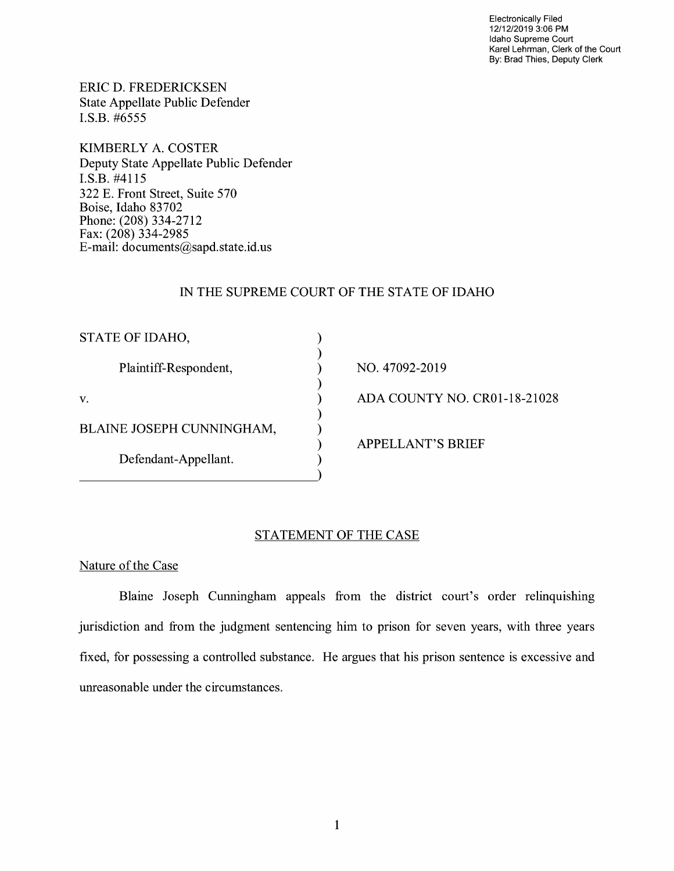Electronically Filed 12/12/2019 3:06 PM Idaho Supreme Court Karel Lehrman, Clerk of the Court By: Brad Thies, Deputy Clerk

ERIC D. FREDERICKSEN State Appellate Public Defender I.S.B. #6555

KIMBERLY A. COSTER Deputy State Appellate Public Defender I.S.B. #4115 322 E. Front Street, Suite 570 Boise, Idaho 83702 Phone: (208) 334-2712 Fax: (208) 334-2985 E-mail: documents@sapd.state.id. us

## IN THE SUPREME COURT OF THE STATE OF IDAHO

NO. 47092-2019

ADA COUNTY NO. CR0l-18-21028

APPELLANT'S BRIEF

# STATEMENT OF THE CASE

Nature of the Case

Blaine Joseph Cunningham appeals from the district court's order relinquishing jurisdiction and from the judgment sentencing him to prison for seven years, with three years fixed, for possessing a controlled substance. He argues that his prison sentence is excessive and unreasonable under the circumstances.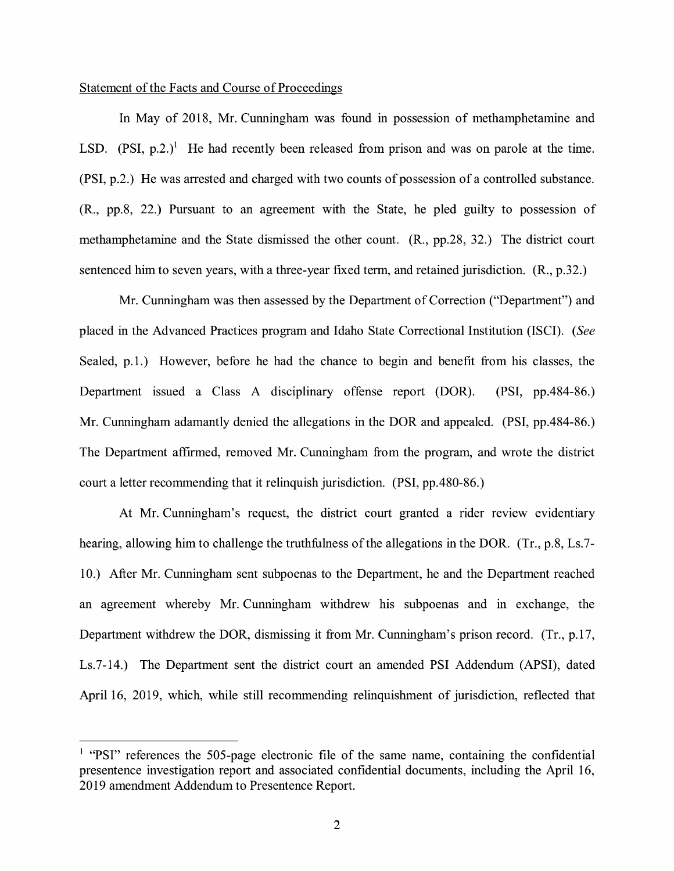## Statement of the Facts and Course of Proceedings

In May of 2018, Mr. Cunningham was found in possession of methamphetamine and LSD.  $(PSI, p.2.)$ <sup>1</sup> He had recently been released from prison and was on parole at the time. (PSI, p.2.) He was arrested and charged with two counts of possession of a controlled substance. (R., pp.8, 22.) Pursuant to an agreement with the State, he pled guilty to possession of methamphetamine and the State dismissed the other count. (R., pp.28, 32.) The district court sentenced him to seven years, with a three-year fixed term, and retained jurisdiction. (R., p.32.)

Mr. Cunningham was then assessed by the Department of Correction ("Department") and placed in the Advanced Practices program and Idaho State Correctional Institution (ISCI). *(See*  Sealed, p.1.) However, before he had the chance to begin and benefit from his classes, the Department issued a Class A disciplinary offense report (DOR). (PSI, pp.484-86.) Mr. Cunningham adamantly denied the allegations in the DOR and appealed. (PSI, pp.484-86.) The Department affirmed, removed Mr. Cunningham from the program, and wrote the district court a letter recommending that it relinquish jurisdiction. (PSI, pp.480-86.)

At Mr. Cunningham's request, the district court granted a rider review evidentiary hearing, allowing him to challenge the truthfulness of the allegations in the DOR. (Tr., p.8, Ls.7- 10.) After Mr. Cunningham sent subpoenas to the Department, he and the Department reached an agreement whereby Mr. Cunningham withdrew his subpoenas and in exchange, the Department withdrew the DOR, dismissing it from Mr. Cunningham's prison record. (Tr., p.17, Ls.7-14.) The Department sent the district court an amended PSI Addendum (APSI), dated April 16, 2019, which, while still recommending relinquishment of jurisdiction, reflected that

<sup>&</sup>lt;sup>1</sup> "PSI" references the 505-page electronic file of the same name, containing the confidential presentence investigation report and associated confidential documents, including the April 16, 2019 amendment Addendum to Presentence Report.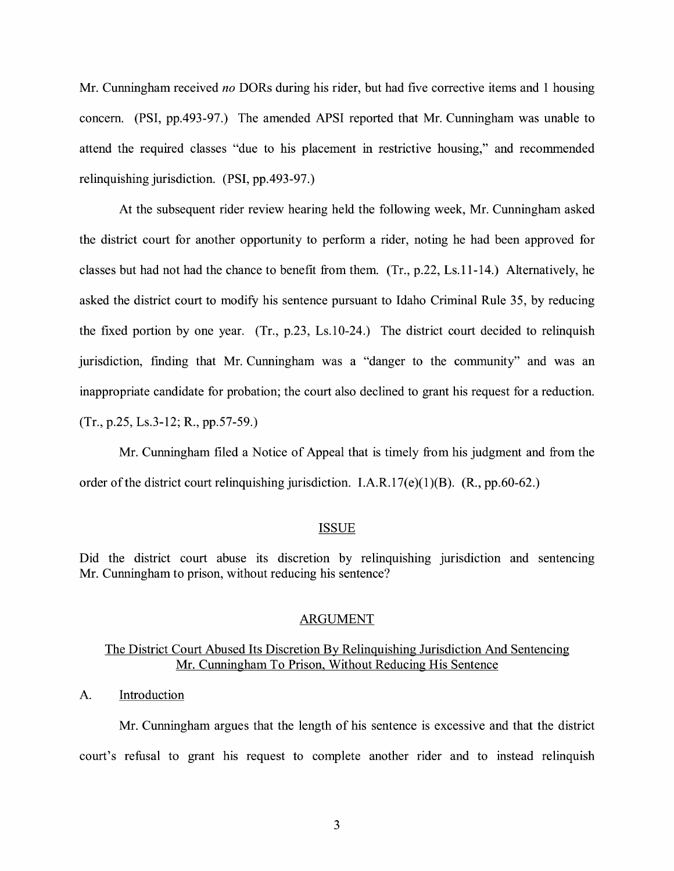Mr. Cunningham received *no* DORs during his rider, but had five corrective items and 1 housing concern. (PSI, pp.493-97.) The amended APSI reported that Mr. Cunningham was unable to attend the required classes "due to his placement in restrictive housing," and recommended relinquishing jurisdiction. (PSI, pp.493-97.)

At the subsequent rider review hearing held the following week, Mr. Cunningham asked the district court for another opportunity to perform a rider, noting he had been approved for classes but had not had the chance to benefit from them. (Tr., p.22, Ls.11-14.) Alternatively, he asked the district court to modify his sentence pursuant to Idaho Criminal Rule 35, by reducing the fixed portion by one year. (Tr., p.23, Ls.10-24.) The district court decided to relinquish jurisdiction, finding that Mr. Cunningham was a "danger to the community" and was an inappropriate candidate for probation; the court also declined to grant his request for a reduction. (Tr., p.25, Ls.3-12; R., pp.57-59.)

Mr. Cunningham filed a Notice of Appeal that is timely from his judgment and from the order of the district court relinquishing jurisdiction. I.A.R.17( $e$ )(1)(B). (R.,  $pp.60-62$ .)

#### ISSUE

Did the district court abuse its discretion by relinquishing jurisdiction and sentencing Mr. Cunningham to prison, without reducing his sentence?

#### ARGUMENT

# The District Court Abused Its Discretion By Relinquishing Jurisdiction And Sentencing Mr. Cunningham To Prison, Without Reducing His Sentence

## A. Introduction

Mr. Cunningham argues that the length of his sentence is excessive and that the district court's refusal to grant his request to complete another rider and to instead relinquish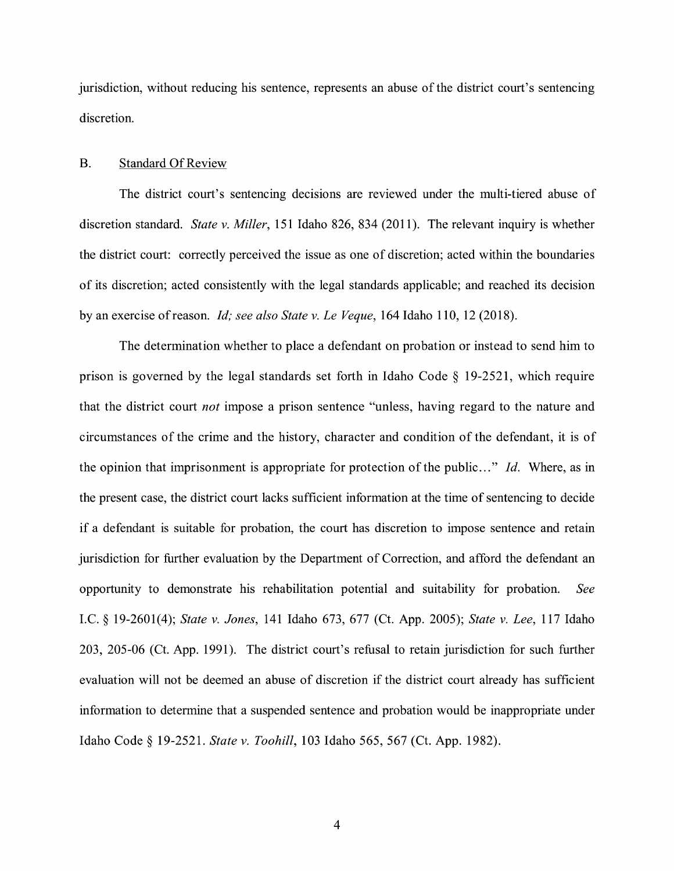jurisdiction, without reducing his sentence, represents an abuse of the district court's sentencing discretion.

### B. Standard Of Review

The district court's sentencing decisions are reviewed under the multi-tiered abuse of discretion standard. *State v. Miller,* 151 Idaho 826, 834 (2011 ). The relevant inquiry is whether the district court: correctly perceived the issue as one of discretion; acted within the boundaries of its discretion; acted consistently with the legal standards applicable; and reached its decision by an exercise ofreason. *Id; see also State v. Le Veque,* 164 Idaho 110, 12 (2018).

The determination whether to place a defendant on probation or instead to send him to prison is governed by the legal standards set forth in Idaho Code § 19-2521, which require that the district court *not* impose a prison sentence "unless, having regard to the nature and circumstances of the crime and the history, character and condition of the defendant, it is of the opinion that imprisonment is appropriate for protection of the public ... " *Id.* Where, as in the present case, the district court lacks sufficient information at the time of sentencing to decide if a defendant is suitable for probation, the court has discretion to impose sentence and retain jurisdiction for further evaluation by the Department of Correction, and afford the defendant an opportunity to demonstrate his rehabilitation potential and suitability for probation. *See*  LC.§ 19-2601(4); *State v. Jones,* 141 Idaho 673, 677 (Ct. App. 2005); *State v. Lee,* 117 Idaho 203, 205-06 (Ct. App. 1991). The district court's refusal to retain jurisdiction for such further evaluation will not be deemed an abuse of discretion if the district court already has sufficient information to determine that a suspended sentence and probation would be inappropriate under Idaho Code§ 19-2521. *State v. Toohill,* 103 Idaho 565, 567 (Ct. App. 1982).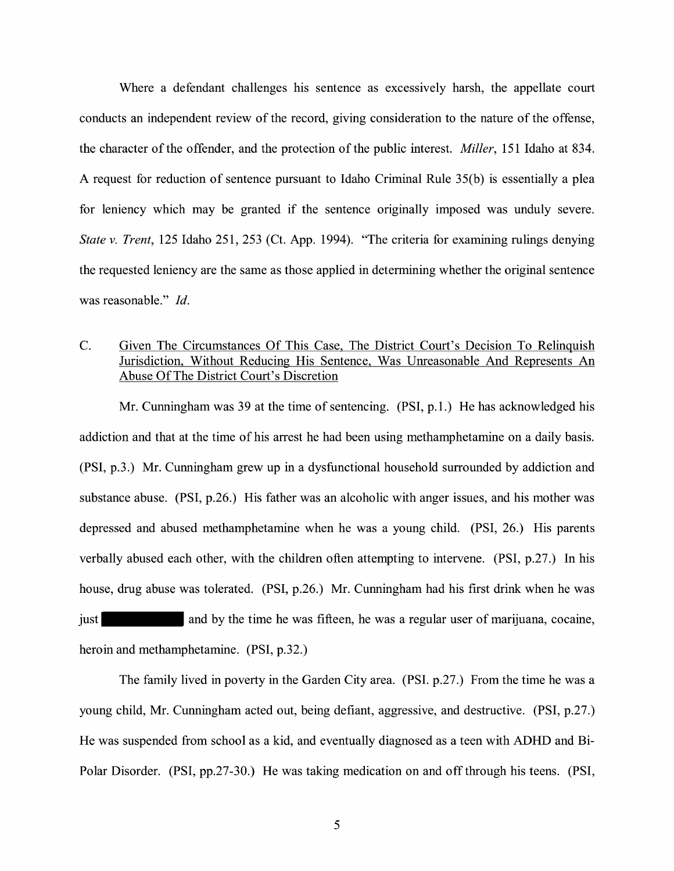Where a defendant challenges his sentence as excessively harsh, the appellate court conducts an independent review of the record, giving consideration to the nature of the offense, the character of the offender, and the protection of the public interest. *Miller,* 151 Idaho at 834. A request for reduction of sentence pursuant to Idaho Criminal Rule 35(b) is essentially a plea for leniency which may be granted if the sentence originally imposed was unduly severe. *State v. Trent,* 125 Idaho 251, 253 (Ct. App. 1994). "The criteria for examining rulings denying the requested leniency are the same as those applied in determining whether the original sentence was reasonable." *Id.* 

# C. Given The Circumstances Of This Case, The District Court's Decision To Relinquish Jurisdiction, Without Reducing His Sentence, Was Unreasonable And Represents An Abuse Of The District Court's Discretion

Mr. Cunningham was 39 at the time of sentencing. (PSI, p.1.) He has acknowledged his addiction and that at the time of his arrest he had been using methamphetamine on a daily basis. (PSI, p.3.) Mr. Cunningham grew up in a dysfunctional household surrounded by addiction and substance abuse. (PSI, p.26.) His father was an alcoholic with anger issues, and his mother was depressed and abused methamphetamine when he was a young child. (PSI, 26.) His parents verbally abused each other, with the children often attempting to intervene. (PSI, p.27.) In his house, drug abuse was tolerated. (PSI, p.26.) Mr. Cunningham had his first drink when he was just and by the time he was fifteen, he was a regular user of marijuana, cocaine, heroin and methamphetamine. (PSI, p.32.)

The family lived in poverty in the Garden City area. (PSI. p.27.) From the time he was a young child, Mr. Cunningham acted out, being defiant, aggressive, and destructive. (PSI, p.27.) He was suspended from school as a kid, and eventually diagnosed as a teen with ADHD and Bi-Polar Disorder. (PSI, pp.27-30.) He was taking medication on and off through his teens. (PSI,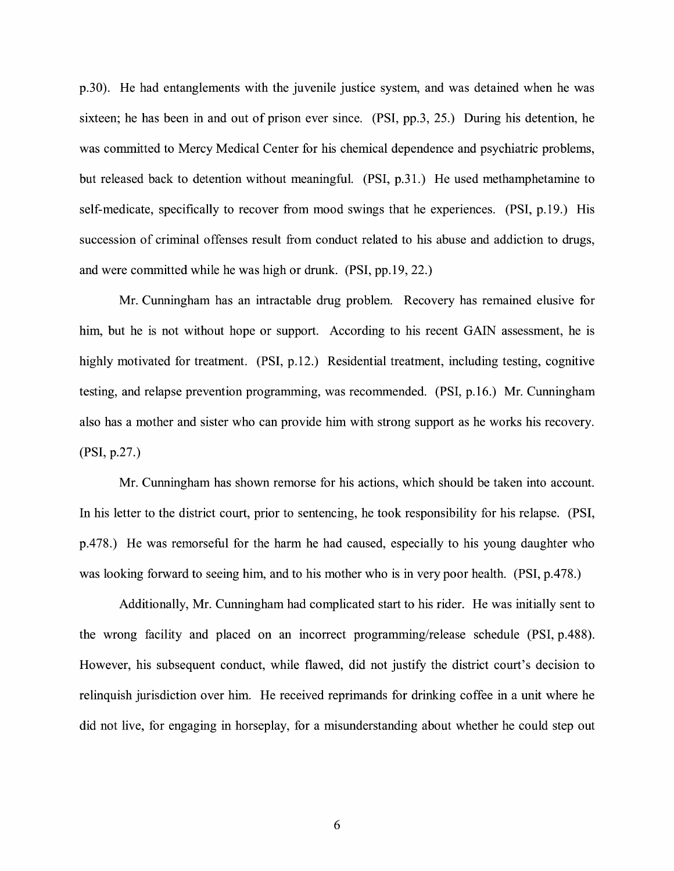p.30). He had entanglements with the juvenile justice system, and was detained when he was sixteen; he has been in and out of prison ever since. (PSI, pp.3, 25.) During his detention, he was committed to Mercy Medical Center for his chemical dependence and psychiatric problems, but released back to detention without meaningful. (PSI, p.31.) He used methamphetamine to self-medicate, specifically to recover from mood swings that he experiences. (PSI, p.19.) His succession of criminal offenses result from conduct related to his abuse and addiction to drugs, and were committed while he was high or drunk. (PSI, pp.19, 22.)

Mr. Cunningham has an intractable drug problem. Recovery has remained elusive for him, but he is not without hope or support. According to his recent GAIN assessment, he is highly motivated for treatment. (PSI, p.12.) Residential treatment, including testing, cognitive testing, and relapse prevention programming, was recommended. (PSI, p.16.) Mr. Cunningham also has a mother and sister who can provide him with strong support as he works his recovery. **(PSI,** p.27.)

Mr. Cunningham has shown remorse for his actions, which should be taken into account. In his letter to the district court, prior to sentencing, he took responsibility for his relapse. **(PSI,**  p.478.) He was remorseful for the harm he had caused, especially to his young daughter who was looking forward to seeing him, and to his mother who is in very poor health. (PSI, p.478.)

Additionally, Mr. Cunningham had complicated start to his rider. He was initially sent to the wrong facility and placed on an incorrect programming/release schedule (PSI, p.488). However, his subsequent conduct, while flawed, did not justify the district court's decision to relinquish jurisdiction over him. He received reprimands for drinking coffee in a unit where he did not live, for engaging in horseplay, for a misunderstanding about whether he could step out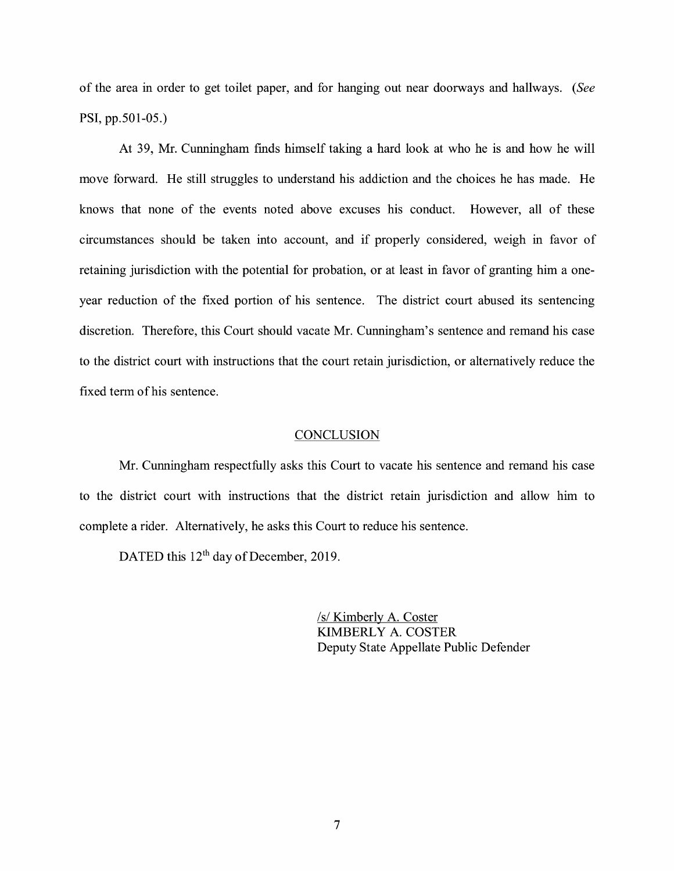of the area in order to get toilet paper, and for hanging out near doorways and hallways. (See **PSI,** pp.501-05.)

At 39, Mr. Cunningham finds himself taking a hard look at who he is and how he will move forward. He still struggles to understand his addiction and the choices he has made. He knows that none of the events noted above excuses his conduct. However, all of these circumstances should be taken into account, and if properly considered, weigh in favor of retaining jurisdiction with the potential for probation, or at least in favor of granting him a oneyear reduction of the fixed portion of his sentence. The district court abused its sentencing discretion. Therefore, this Court should vacate Mr. Cunningham's sentence and remand his case to the district court with instructions that the court retain jurisdiction, or alternatively reduce the fixed term of his sentence.

#### **CONCLUSION**

Mr. Cunningham respectfully asks this Court to vacate his sentence and remand his case to the district court with instructions that the district retain jurisdiction and allow him to complete a rider. Alternatively, he asks this Court to reduce his sentence.

DATED this 12<sup>th</sup> day of December, 2019.

/s/ Kimberly A. Coster KIMBERLY A. COSTER Deputy State Appellate Public Defender